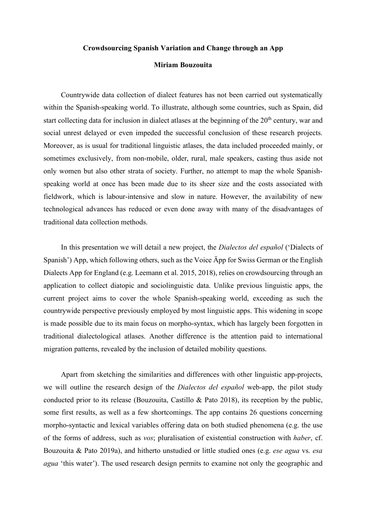## **Crowdsourcing Spanish Variation and Change through an App**

## **Miriam Bouzouita**

Countrywide data collection of dialect features has not been carried out systematically within the Spanish-speaking world. To illustrate, although some countries, such as Spain, did start collecting data for inclusion in dialect atlases at the beginning of the  $20<sup>th</sup>$  century, war and social unrest delayed or even impeded the successful conclusion of these research projects. Moreover, as is usual for traditional linguistic atlases, the data included proceeded mainly, or sometimes exclusively, from non-mobile, older, rural, male speakers, casting thus aside not only women but also other strata of society. Further, no attempt to map the whole Spanishspeaking world at once has been made due to its sheer size and the costs associated with fieldwork, which is labour-intensive and slow in nature. However, the availability of new technological advances has reduced or even done away with many of the disadvantages of traditional data collection methods.

In this presentation we will detail a new project, the *Dialectos del español* ('Dialects of Spanish') App, which following others, such as the Voice Äpp for Swiss German or the English Dialects App for England (e.g. Leemann et al. 2015, 2018), relies on crowdsourcing through an application to collect diatopic and sociolinguistic data. Unlike previous linguistic apps, the current project aims to cover the whole Spanish-speaking world, exceeding as such the countrywide perspective previously employed by most linguistic apps. This widening in scope is made possible due to its main focus on morpho-syntax, which has largely been forgotten in traditional dialectological atlases. Another difference is the attention paid to international migration patterns, revealed by the inclusion of detailed mobility questions.

Apart from sketching the similarities and differences with other linguistic app-projects, we will outline the research design of the *Dialectos del español* web-app, the pilot study conducted prior to its release (Bouzouita, Castillo & Pato 2018), its reception by the public, some first results, as well as a few shortcomings. The app contains 26 questions concerning morpho-syntactic and lexical variables offering data on both studied phenomena (e.g. the use of the forms of address, such as *vos*; pluralisation of existential construction with *haber*, cf. Bouzouita & Pato 2019a), and hitherto unstudied or little studied ones (e.g. *ese agua* vs. *esa agua* 'this water'). The used research design permits to examine not only the geographic and